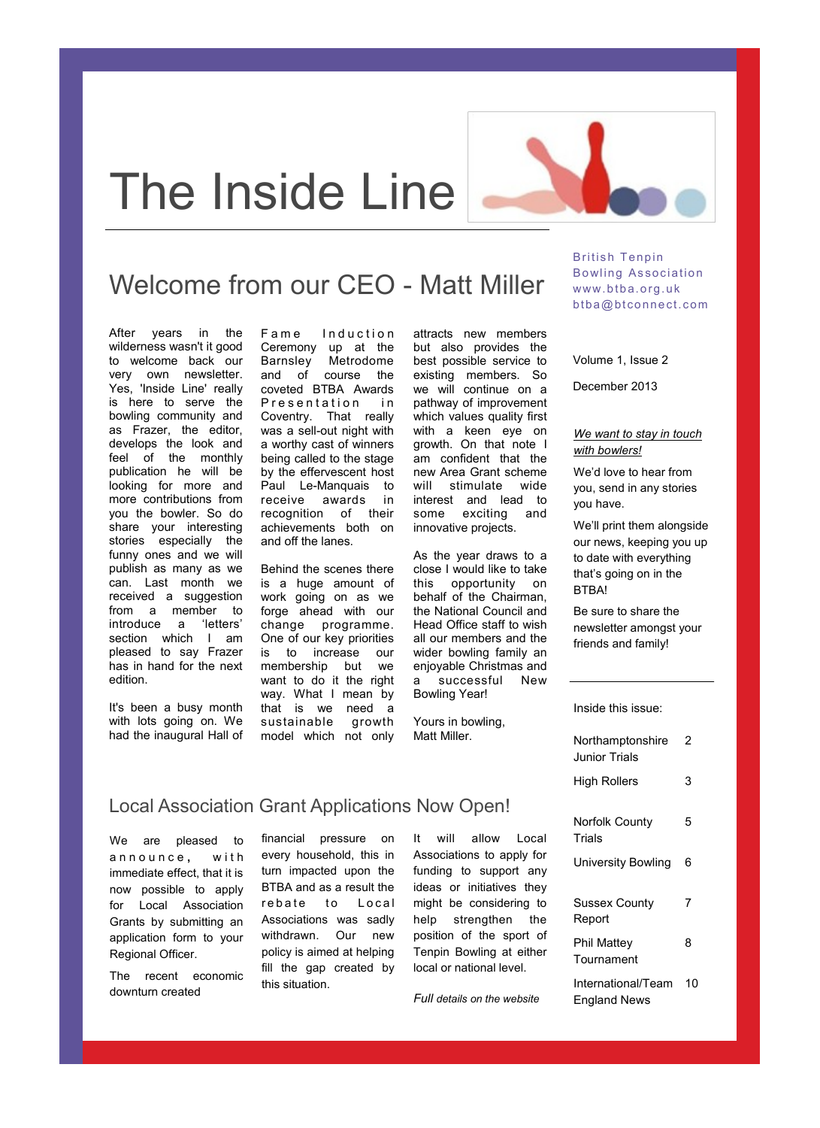

# Welcome from our CEO - Matt Miller

After years in the wilderness wasn't it good to welcome back our very own newsletter. Yes, 'Inside Line' really is here to serve the bowling community and as Frazer, the editor, develops the look and feel of the monthly publication he will be looking for more and more contributions from you the bowler. So do share your interesting stories especially the funny ones and we will publish as many as we can. Last month we received a suggestion from a member to introduce a 'letters' section which I am pleased to say Frazer has in hand for the next edition.

It's been a busy month with lots going on. We had the inaugural Hall of Fame Induction Ceremony up at the Barnsley Metrodome and of course the coveted BTBA Awards Presentation in Coventry. That really was a sell-out night with a worthy cast of winners being called to the stage by the effervescent host Paul Le-Manquais to receive awards in recognition of their achievements both on and off the lanes.

Behind the scenes there is a huge amount of work going on as we forge ahead with our change programme. One of our key priorities is to increase our membership but we want to do it the right way. What I mean by that is we need a sustainable growth model which not only

attracts new members but also provides the best possible service to existing members. So we will continue on a pathway of improvement which values quality first with a keen eye on growth. On that note I am confident that the new Area Grant scheme will stimulate wide interest and lead to some exciting and innovative projects.

As the year draws to a close I would like to take this opportunity on behalf of the Chairman, the National Council and Head Office staff to wish all our members and the wider bowling family an enjoyable Christmas and a successful New Bowling Year!

Yours in bowling, Matt Miller.

## British Tenpin Bowling Association www.btba.org.uk btba@btconnect.com

Volume 1, Issue 2

December 2013

### *We want to stay in touch with bowlers!*

We'd love to hear from you, send in any stories you have.

We'll print them alongside our news, keeping you up to date with everything that's going on in the BTBA!

Be sure to share the newsletter amongst your friends and family!

Inside this issue:

| Northamptonshire<br>Junior Trials  | 2  |
|------------------------------------|----|
| High Rollers                       | 3  |
| Norfolk County<br>Trials           | 5  |
| University Bowling                 | 6  |
| Sussex County<br>Report            | 7  |
| Phil Mattev<br>Tournament          | 8  |
| International/Team<br>England News | 10 |

## Local Association Grant Applications Now Open!

We are pleased to announce, with immediate effect, that it is now possible to apply for Local Association Grants by submitting an application form to your Regional Officer.

The recent economic downturn created

financial pressure on every household, this in turn impacted upon the BTBA and as a result the rebate to Local Associations was sadly withdrawn. Our new policy is aimed at helping fill the gap created by this situation.

It will allow Local Associations to apply for funding to support any ideas or initiatives they might be considering to help strengthen the position of the sport of Tenpin Bowling at either local or national level.

*Full details on the website*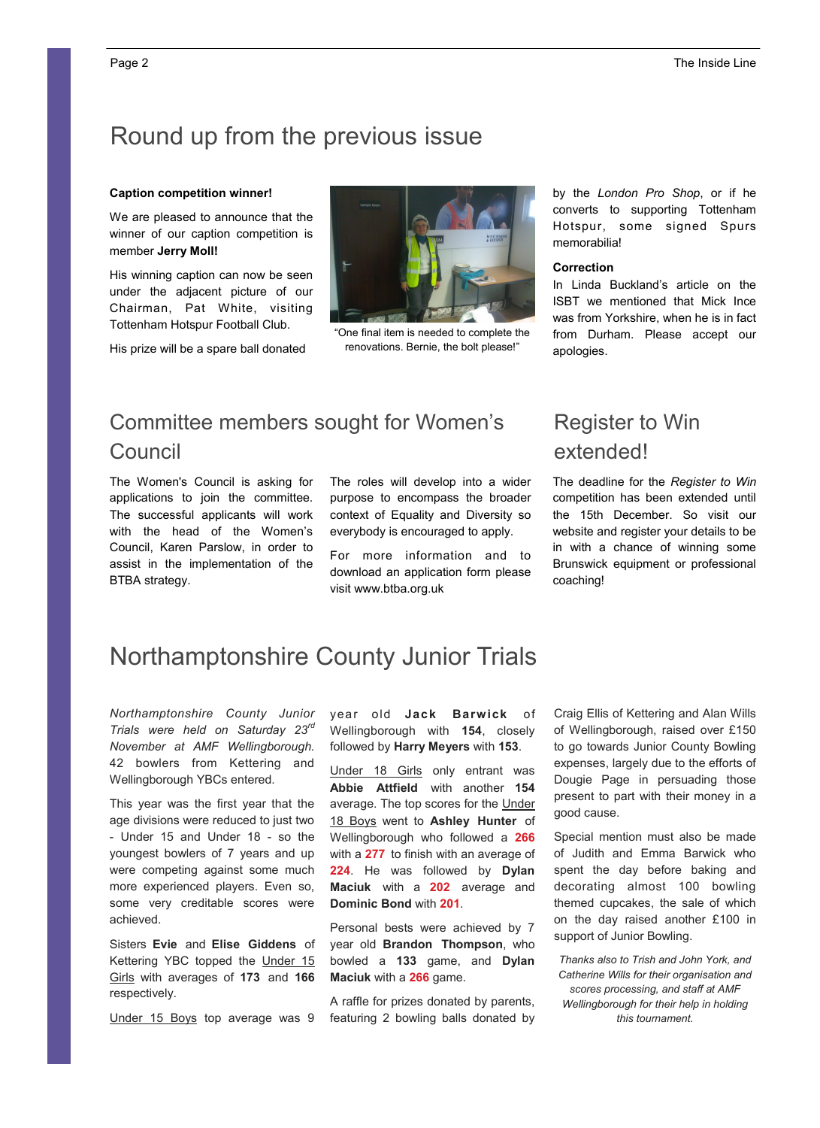# Round up from the previous issue

#### **Caption competition winner!**

We are pleased to announce that the winner of our caption competition is member **Jerry Moll!** 

His winning caption can now be seen under the adjacent picture of our Chairman, Pat White, visiting Tottenham Hotspur Football Club.

His prize will be a spare ball donated



"One final item is needed to complete the renovations. Bernie, the bolt please!"

Committee members sought for Women's Council

The Women's Council is asking for applications to join the committee. The successful applicants will work with the head of the Women's Council, Karen Parslow, in order to assist in the implementation of the BTBA strategy.

The roles will develop into a wider purpose to encompass the broader context of Equality and Diversity so everybody is encouraged to apply.

For more information and to download an application form please visit www.btba.org.uk

by the *London Pro Shop*, or if he converts to supporting Tottenham Hotspur, some signed Spurs memorabilia!

#### **Correction**

In Linda Buckland's article on the ISBT we mentioned that Mick Ince was from Yorkshire, when he is in fact from Durham. Please accept our apologies.

## Register to Win extended!

The deadline for the *Register to Win*  competition has been extended until the 15th December. So visit our website and register your details to be in with a chance of winning some Brunswick equipment or professional coaching!

# Northamptonshire County Junior Trials

*Northamptonshire County Junior Trials were held on Saturday 23rd November at AMF Wellingborough.*  42 bowlers from Kettering and Wellingborough YBCs entered.

This year was the first year that the age divisions were reduced to just two - Under 15 and Under 18 - so the youngest bowlers of 7 years and up were competing against some much more experienced players. Even so, some very creditable scores were achieved.

Sisters **Evie** and **Elise Giddens** of Kettering YBC topped the Under 15 Girls with averages of **173** and **166**  respectively.

Under 15 Boys top average was 9

year old **Jack Barwick** of Wellingborough with **154**, closely followed by **Harry Meyers** with **153**.

Under 18 Girls only entrant was **Abbie Attfield** with another **154**  average. The top scores for the Under 18 Boys went to **Ashley Hunter** of Wellingborough who followed a **266**  with a **277** to finish with an average of **224**. He was followed by **Dylan Maciuk** with a **202** average and **Dominic Bond** with **201**.

Personal bests were achieved by 7 year old **Brandon Thompson**, who bowled a **133** game, and **Dylan Maciuk** with a **266** game.

A raffle for prizes donated by parents, featuring 2 bowling balls donated by

Craig Ellis of Kettering and Alan Wills of Wellingborough, raised over £150 to go towards Junior County Bowling expenses, largely due to the efforts of Dougie Page in persuading those present to part with their money in a good cause.

Special mention must also be made of Judith and Emma Barwick who spent the day before baking and decorating almost 100 bowling themed cupcakes, the sale of which on the day raised another £100 in support of Junior Bowling.

*Thanks also to Trish and John York, and Catherine Wills for their organisation and scores processing, and staff at AMF Wellingborough for their help in holding this tournament.*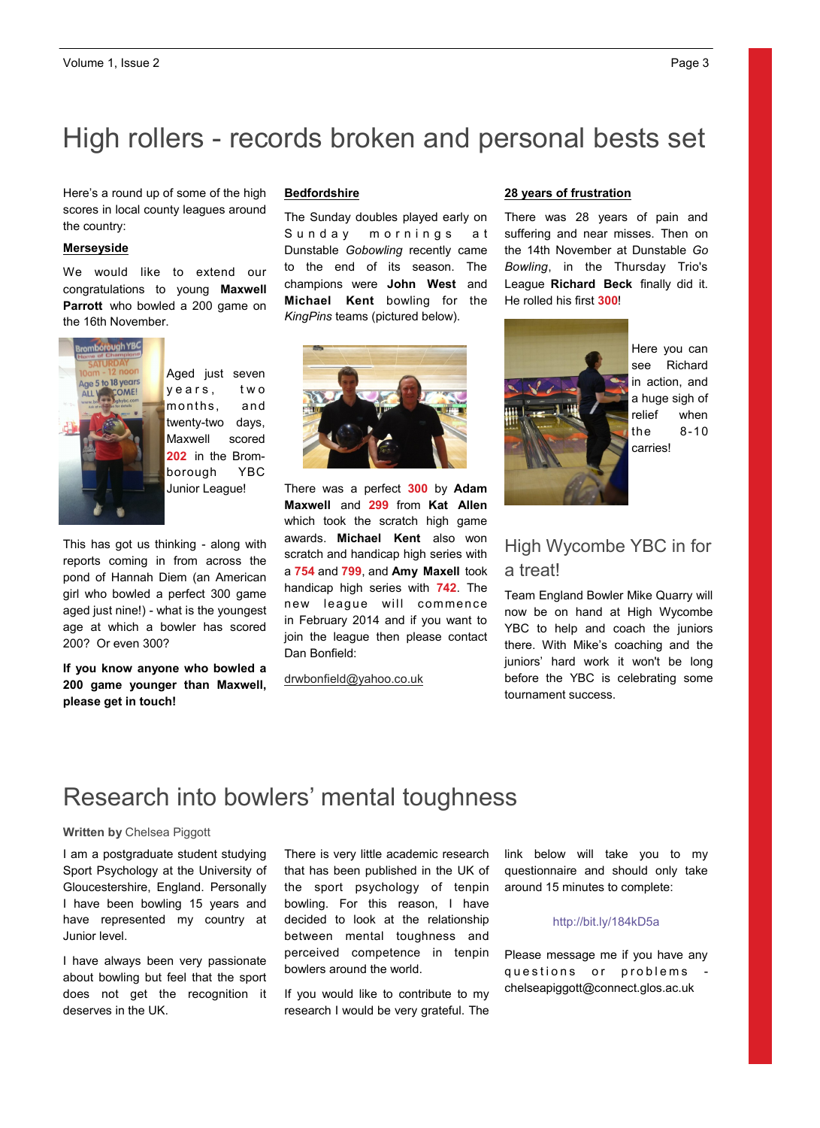# High rollers - records broken and personal bests set

Frore e a reand ap or some or the high-<br>scores in local county leagues around the country: the using your newsletter  $\mathcal{L}$ Here's a round up of some of the high

## **a Merseyside**

reuse content from other marketing materials, such as press releases, We would like to extend our **Parrott** who bowled a 200 game on the 16th November. congratulations to young **Maxwell** 



years, two months, and Junior League!

This has got us thinking - along with reports coming in from across the pond of Hannah Diem (an American girl who bowled a perfect 300 game aged just nine!) - what is the youngest age at which a bowler has scored 200? Or even 300?

**If you know anyone who bowled a 200 game younger than Maxwell, please get in touch!**

#### $s$ s a new that promotes a new that  $p$ **Bedfordshire**

The Sunday doubles played early on Dunstable *Gobowling* recently came to the end of its season. The champions were **John West** and **Michael Kent** bowling for the KingPins teams (pictured below). Sunday mornings at



There was a perfect **300** by **Adam Maxwell** and **299** from **Kat Allen**  which took the scratch high game awards. **Michael Kent** also won scratch and handicap high series with a **754** and **799**, and **Amy Maxell** took handicap high series with **742**. The new league will commence in February 2014 and if you want to join the league then please contact Dan Bonfield:

### drwbonfield@yahoo.co.uk

#### **28 years of frustration**

There was 28 years of pain and suffering and near misses. Then on the 14th November at Dunstable *Go Bowling*, in the Thursday Trio's League **Richard Beck** finally did it. He rolled his first **300**!



Here you can see Richard in action, and a huge sigh of relief when the 8-10 carries!

## High Wycombe YBC in for a treat!

Team England Bowler Mike Quarry will now be on hand at High Wycombe YBC to help and coach the juniors there. With Mike's coaching and the juniors' hard work it won't be long before the YBC is celebrating some tournament success.

## Research into bowlers' mental toughness

## **Written by** Chelsea Piggott

I am a postgraduate student studying Sport Psychology at the University of Gloucestershire, England. Personally I have been bowling 15 years and have represented my country at Junior level.

I have always been very passionate about bowling but feel that the sport does not get the recognition it deserves in the UK.

There is very little academic research that has been published in the UK of the sport psychology of tenpin bowling. For this reason, I have decided to look at the relationship between mental toughness and perceived competence in tenpin bowlers around the world.

If you would like to contribute to my research I would be very grateful. The link below will take you to my questionnaire and should only take around 15 minutes to complete:

### http://bit.ly/184kD5a

Please message me if you have any questions or problems chelseapiggott@connect.glos.ac.uk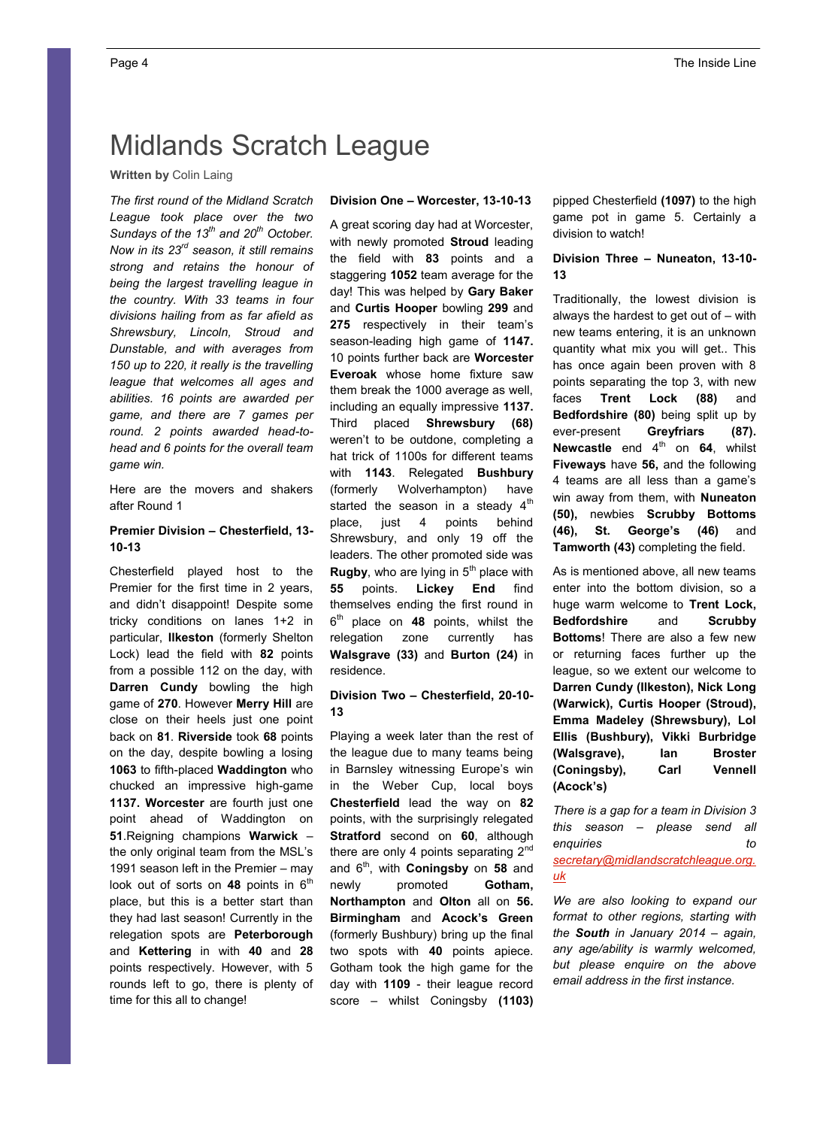# Midlands Scratch League

## **Written by** Colin Laing

*The first round of the Midland Scratch League took place over the two Sundays of the 13th and 20th October. Now in its 23rd season, it still remains strong and retains the honour of being the largest travelling league in the country. With 33 teams in four divisions hailing from as far afield as Shrewsbury, Lincoln, Stroud and Dunstable, and with averages from 150 up to 220, it really is the travelling league that welcomes all ages and abilities. 16 points are awarded per game, and there are 7 games per round. 2 points awarded head-tohead and 6 points for the overall team game win.*

Here are the movers and shakers after Round 1

## **Premier Division – Chesterfield, 13- 10-13**

Chesterfield played host to the Premier for the first time in 2 years, and didn't disappoint! Despite some tricky conditions on lanes 1+2 in particular, **Ilkeston** (formerly Shelton Lock) lead the field with **82** points from a possible 112 on the day, with **Darren Cundy** bowling the high game of **270**. However **Merry Hill** are close on their heels just one point back on **81**. **Riverside** took **68** points on the day, despite bowling a losing **1063** to fifth-placed **Waddington** who chucked an impressive high-game **1137. Worcester** are fourth just one point ahead of Waddington on **51**.Reigning champions **Warwick** – the only original team from the MSL's 1991 season left in the Premier – may look out of sorts on 48 points in 6<sup>th</sup> place, but this is a better start than they had last season! Currently in the relegation spots are **Peterborough**  and **Kettering** in with **40** and **28** points respectively. However, with 5 rounds left to go, there is plenty of time for this all to change!

## **Division One – Worcester, 13-10-13**

A great scoring day had at Worcester, with newly promoted **Stroud** leading the field with **83** points and a staggering **1052** team average for the day! This was helped by **Gary Baker** and **Curtis Hooper** bowling **299** and **275** respectively in their team's season-leading high game of **1147.** 10 points further back are **Worcester Everoak** whose home fixture saw them break the 1000 average as well, including an equally impressive **1137.**  Third placed **Shrewsbury (68)**  weren't to be outdone, completing a hat trick of 1100s for different teams with **1143**. Relegated **Bushbury**  (formerly Wolverhampton) have started the season in a steady 4<sup>th</sup> place, just 4 points behind Shrewsbury, and only 19 off the leaders. The other promoted side was **Rugby**, who are lying in 5<sup>th</sup> place with **55** points. **Lickey End** find themselves ending the first round in 6th place on **48** points, whilst the relegation zone currently has **Walsgrave (33)** and **Burton (24)** in residence.

## **Division Two – Chesterfield, 20-10- 13**

Playing a week later than the rest of the league due to many teams being in Barnsley witnessing Europe's win in the Weber Cup, local boys **Chesterfield** lead the way on **82** points, with the surprisingly relegated **Stratford** second on **60**, although there are only 4 points separating  $2^{nd}$ and 6th, with **Coningsby** on **58** and newly promoted **Gotham, Northampton** and **Olton** all on **56. Birmingham** and **Acock's Green** (formerly Bushbury) bring up the final two spots with **40** points apiece. Gotham took the high game for the day with **1109** - their league record score – whilst Coningsby **(1103)** 

pipped Chesterfield **(1097)** to the high game pot in game 5. Certainly a division to watch!

### **Division Three – Nuneaton, 13-10- 13**

Traditionally, the lowest division is always the hardest to get out of – with new teams entering, it is an unknown quantity what mix you will get.. This has once again been proven with 8 points separating the top 3, with new faces **Trent Lock (88)** and **Bedfordshire (80)** being split up by ever-present **Greyfriars (87). Newcastle** end 4<sup>th</sup> on 64, whilst **Fiveways** have **56,** and the following 4 teams are all less than a game's win away from them, with **Nuneaton (50),** newbies **Scrubby Bottoms (46), St. George's (46)** and **Tamworth (43)** completing the field.

As is mentioned above, all new teams enter into the bottom division, so a huge warm welcome to **Trent Lock, Bedfordshire** and **Scrubby Bottoms**! There are also a few new or returning faces further up the league, so we extent our welcome to **Darren Cundy (Ilkeston), Nick Long (Warwick), Curtis Hooper (Stroud), Emma Madeley (Shrewsbury), Lol Ellis (Bushbury), Vikki Burbridge (Walsgrave), Ian Broster (Coningsby), Carl Vennell (Acock's)**

*There is a gap for a team in Division 3 this season – please send all enquiries to secretary@midlandscratchleague.org. uk*

*We are also looking to expand our format to other regions, starting with the South in January 2014 – again, any age/ability is warmly welcomed, but please enquire on the above email address in the first instance.*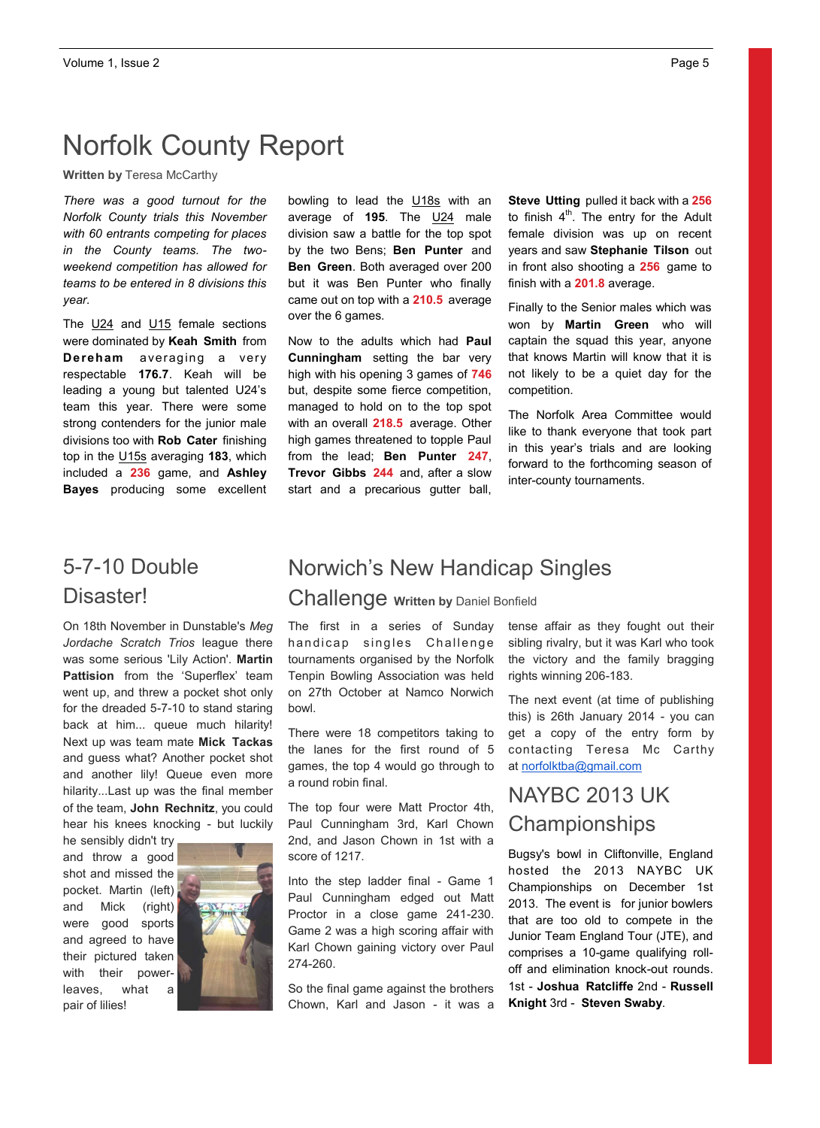# Norfolk County Report

**Written by** Teresa McCarthy

*There was a good turnout for the Norfolk County trials this November with 60 entrants competing for places in the County teams. The twoweekend competition has allowed for teams to be entered in 8 divisions this year.* 

The U24 and U15 female sections were dominated by **Keah Smith** from **Dereham** averaging a very respectable **176.7**. Keah will be leading a young but talented U24's team this year. There were some strong contenders for the junior male divisions too with **Rob Cater** finishing top in the U15s averaging **183**, which included a **236** game, and **Ashley Bayes** producing some excellent bowling to lead the **U18s** with an average of **195**. The U24 male division saw a battle for the top spot by the two Bens; **Ben Punter** and **Ben Green**. Both averaged over 200 but it was Ben Punter who finally came out on top with a **210.5** average over the 6 games.

Now to the adults which had **Paul Cunningham** setting the bar very high with his opening 3 games of **746** but, despite some fierce competition, managed to hold on to the top spot with an overall **218.5** average. Other high games threatened to topple Paul from the lead; **Ben Punter 247**, **Trevor Gibbs 244** and, after a slow start and a precarious gutter ball, **Steve Utting** pulled it back with a **256**  to finish  $4<sup>th</sup>$ . The entry for the Adult female division was up on recent years and saw **Stephanie Tilson** out in front also shooting a **256** game to finish with a **201.8** average.

Finally to the Senior males which was won by **Martin Green** who will captain the squad this year, anyone that knows Martin will know that it is not likely to be a quiet day for the competition.

The Norfolk Area Committee would like to thank everyone that took part in this year's trials and are looking forward to the forthcoming season of inter-county tournaments.

# 5-7-10 Double Disaster!

On 18th November in Dunstable's *Meg Jordache Scratch Trios* league there was some serious 'Lily Action'. **Martin Pattision** from the 'Superflex' team went up, and threw a pocket shot only for the dreaded 5-7-10 to stand staring back at him... queue much hilarity! Next up was team mate **Mick Tackas**  and guess what? Another pocket shot and another lily! Queue even more hilarity...Last up was the final member of the team, **John Rechnitz**, you could hear his knees knocking - but luckily

he sensibly didn't try and throw a good shot and missed the pocket. Martin (left) and Mick (right) were good sports and agreed to have their pictured taken with their powerleaves, what a pair of lilies!



# Norwich's New Handicap Singles

Challenge **Written by** Daniel Bonfield

The first in a series of Sunday handicap singles Challenge tournaments organised by the Norfolk Tenpin Bowling Association was held on 27th October at Namco Norwich bowl.

There were 18 competitors taking to the lanes for the first round of 5 games, the top 4 would go through to a round robin final.

The top four were Matt Proctor 4th, Paul Cunningham 3rd, Karl Chown 2nd, and Jason Chown in 1st with a score of 1217.

Into the step ladder final - Game 1 Paul Cunningham edged out Matt Proctor in a close game 241-230. Game 2 was a high scoring affair with Karl Chown gaining victory over Paul 274-260.

So the final game against the brothers Chown, Karl and Jason - it was a

tense affair as they fought out their sibling rivalry, but it was Karl who took the victory and the family bragging rights winning 206-183.

The next event (at time of publishing this) is 26th January 2014 - you can get a copy of the entry form by contacting Teresa Mc Carthy at norfolktba@gmail.com

# NAYBC 2013 UK **Championships**

Bugsy's bowl in Cliftonville, England hosted the 2013 NAYBC UK Championships on December 1st 2013. The event is for junior bowlers that are too old to compete in the Junior Team England Tour (JTE), and comprises a 10-game qualifying rolloff and elimination knock-out rounds. 1st - **Joshua Ratcliffe** 2nd - **Russell Knight** 3rd - **Steven Swaby**.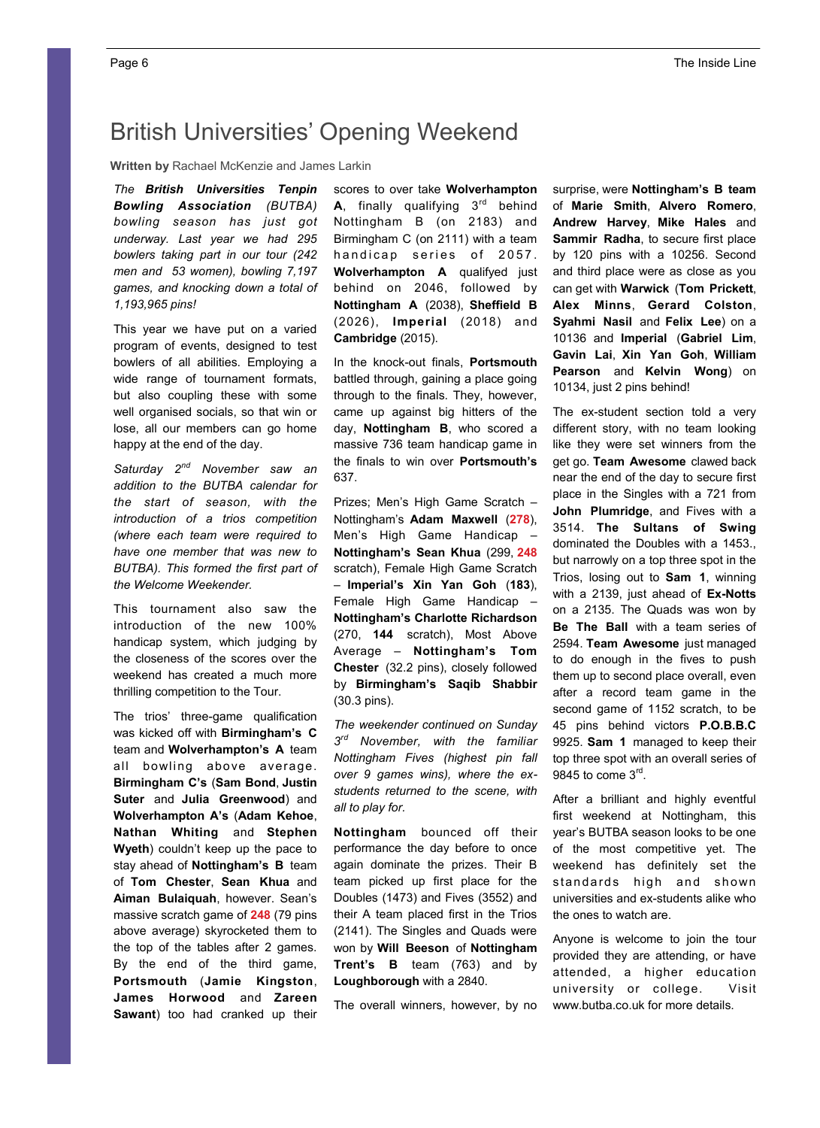# British Universities' Opening Weekend

**Written by** Rachael McKenzie and James Larkin

*The British Universities Tenpin Bowling Association (BUTBA) bowling season has just got underway. Last year we had 295 bowlers taking part in our tour (242 men and 53 women), bowling 7,197 games, and knocking down a total of 1,193,965 pins!*

This year we have put on a varied program of events, designed to test bowlers of all abilities. Employing a wide range of tournament formats, but also coupling these with some well organised socials, so that win or lose, all our members can go home happy at the end of the day.

*Saturday 2nd November saw an addition to the BUTBA calendar for the start of season, with the introduction of a trios competition (where each team were required to have one member that was new to BUTBA). This formed the first part of the Welcome Weekender.* 

This tournament also saw the introduction of the new 100% handicap system, which judging by the closeness of the scores over the weekend has created a much more thrilling competition to the Tour.

The trios' three-game qualification was kicked off with **Birmingham's C**  team and **Wolverhampton's A** team all bowling above average. **Birmingham C's** (**Sam Bond**, **Justin Suter** and **Julia Greenwood**) and **Wolverhampton A's** (**Adam Kehoe**, **Nathan Whiting** and **Stephen Wyeth**) couldn't keep up the pace to stay ahead of **Nottingham's B** team of **Tom Chester**, **Sean Khua** and **Aiman Bulaiquah**, however. Sean's massive scratch game of **248** (79 pins above average) skyrocketed them to the top of the tables after 2 games. By the end of the third game, **Portsmouth** (**Jamie Kingston**, **James Horwood** and **Zareen Sawant**) too had cranked up their

scores to over take **Wolverhampton A**, finally qualifying  $3<sup>rd</sup>$  behind Nottingham B (on 2183) and Birmingham C (on 2111) with a team handicap series of 2057. **Wolverhampton A** qualifyed just behind on 2046, followed by **Nottingham A** (2038), **Sheffield B**  (2026), **Imperial** (2018) and **Cambridge** (2015).

In the knock-out finals, **Portsmouth**  battled through, gaining a place going through to the finals. They, however, came up against big hitters of the day, **Nottingham B**, who scored a massive 736 team handicap game in the finals to win over **Portsmouth's**  637.

Prizes; Men's High Game Scratch – Nottingham's **Adam Maxwell** (**278**), Men's High Game Handicap – **Nottingham's Sean Khua** (299, **248**  scratch), Female High Game Scratch – **Imperial's Xin Yan Goh** (**183**), Female High Game Handicap – **Nottingham's Charlotte Richardson**  (270, **144** scratch), Most Above Average – **Nottingham's Tom Chester** (32.2 pins), closely followed by **Birmingham's Saqib Shabbir**  (30.3 pins).

*The weekender continued on Sunday 3rd November, with the familiar Nottingham Fives (highest pin fall over 9 games wins), where the exstudents returned to the scene, with all to play for.* 

**Nottingham** bounced off their performance the day before to once again dominate the prizes. Their B team picked up first place for the Doubles (1473) and Fives (3552) and their A team placed first in the Trios (2141). The Singles and Quads were won by **Will Beeson** of **Nottingham Trent's B** team (763) and by **Loughborough** with a 2840.

The overall winners, however, by no

surprise, were **Nottingham's B team**  of **Marie Smith**, **Alvero Romero**, **Andrew Harvey**, **Mike Hales** and **Sammir Radha**, to secure first place by 120 pins with a 10256. Second and third place were as close as you can get with **Warwick** (**Tom Prickett**, **Alex Minns**, **Gerard Colston**, **Syahmi Nasil** and **Felix Lee**) on a 10136 and **Imperial** (**Gabriel Lim**, **Gavin Lai**, **Xin Yan Goh**, **William Pearson** and **Kelvin Wong**) on 10134, just 2 pins behind!

The ex-student section told a very different story, with no team looking like they were set winners from the get go. **Team Awesome** clawed back near the end of the day to secure first place in the Singles with a 721 from **John Plumridge**, and Fives with a 3514. **The Sultans of Swing**  dominated the Doubles with a 1453., but narrowly on a top three spot in the Trios, losing out to **Sam 1**, winning with a 2139, just ahead of **Ex-Notts**  on a 2135. The Quads was won by **Be The Ball** with a team series of 2594. **Team Awesome** just managed to do enough in the fives to push them up to second place overall, even after a record team game in the second game of 1152 scratch, to be 45 pins behind victors **P.O.B.B.C**  9925. **Sam 1** managed to keep their top three spot with an overall series of 9845 to come  $3<sup>rd</sup>$ .

After a brilliant and highly eventful first weekend at Nottingham, this year's BUTBA season looks to be one of the most competitive yet. The weekend has definitely set the standards high and shown universities and ex-students alike who the ones to watch are.

Anyone is welcome to join the tour provided they are attending, or have attended, a higher education university or college. Visit www.butba.co.uk for more details.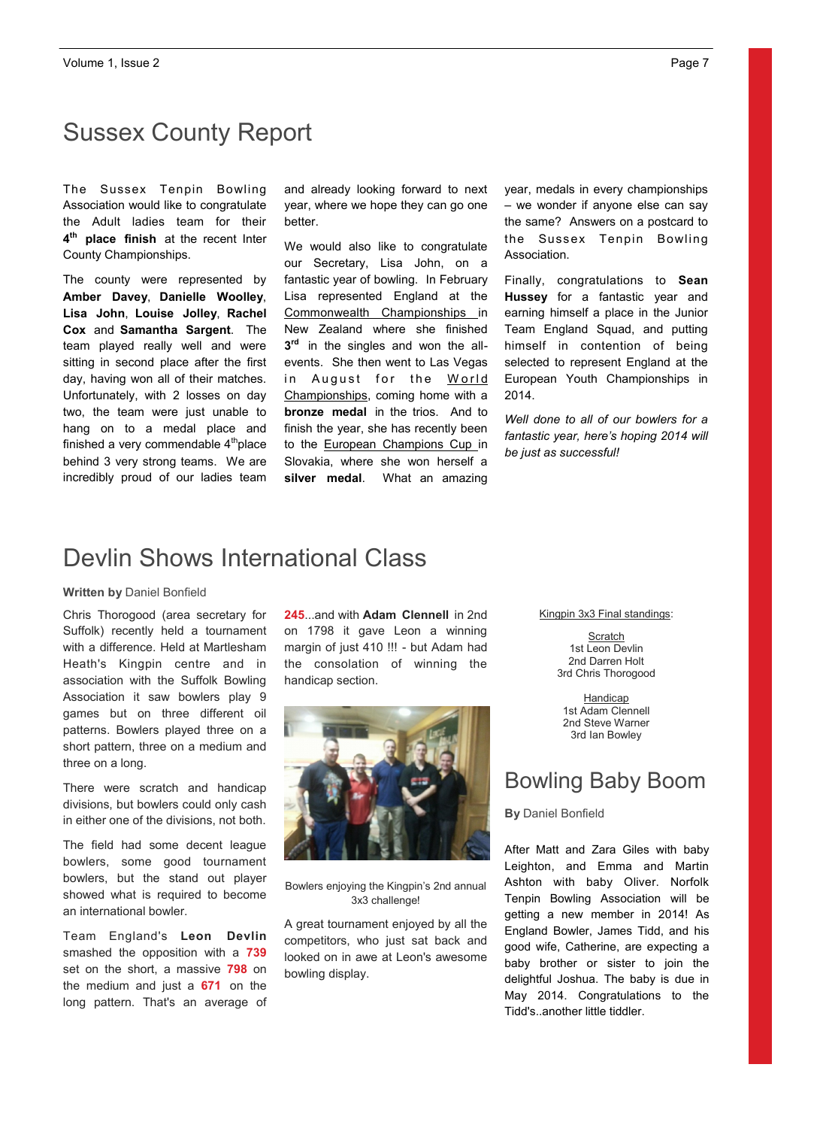# Sussex County Report

The Sussex Tenpin Bowling Association would like to congratulate the Adult ladies team for their **4th place finish** at the recent Inter County Championships.

The county were represented by **Amber Davey**, **Danielle Woolley**, **Lisa John**, **Louise Jolley**, **Rachel Cox** and **Samantha Sargent**. The team played really well and were sitting in second place after the first day, having won all of their matches. Unfortunately, with 2 losses on day two, the team were just unable to hang on to a medal place and finished a very commendable  $4<sup>th</sup>$ place behind 3 very strong teams. We are incredibly proud of our ladies team and already looking forward to next year, where we hope they can go one better.

We would also like to congratulate our Secretary, Lisa John, on a fantastic year of bowling. In February Lisa represented England at the Commonwealth Championships in New Zealand where she finished **3rd** in the singles and won the allevents. She then went to Las Vegas in August for the World Championships, coming home with a **bronze medal** in the trios. And to finish the year, she has recently been to the **European Champions Cup** in Slovakia, where she won herself a **silver medal**. What an amazing

year, medals in every championships – we wonder if anyone else can say the same? Answers on a postcard to the Sussex Tenpin Bowling Association.

Finally, congratulations to **Sean Hussey** for a fantastic year and earning himself a place in the Junior Team England Squad, and putting himself in contention of being selected to represent England at the European Youth Championships in 2014.

*Well done to all of our bowlers for a fantastic year, here's hoping 2014 will be just as successful!*

## Devlin Shows International Class

### **Written by** Daniel Bonfield

Chris Thorogood (area secretary for Suffolk) recently held a tournament with a difference. Held at Martlesham Heath's Kingpin centre and in association with the Suffolk Bowling Association it saw bowlers play 9 games but on three different oil patterns. Bowlers played three on a short pattern, three on a medium and three on a long.

There were scratch and handicap divisions, but bowlers could only cash in either one of the divisions, not both.

The field had some decent league bowlers, some good tournament bowlers, but the stand out player showed what is required to become an international bowler.

Team England's **Leon Devlin**  smashed the opposition with a **739** set on the short, a massive **798** on the medium and just a **671** on the long pattern. That's an average of **245**...and with **Adam Clennell** in 2nd on 1798 it gave Leon a winning margin of just 410 !!! - but Adam had the consolation of winning the handicap section.



Bowlers enjoying the Kingpin's 2nd annual 3x3 challenge!

A great tournament enjoyed by all the competitors, who just sat back and looked on in awe at Leon's awesome bowling display.

Kingpin 3x3 Final standings:

**Scratch** 1st Leon Devlin 2nd Darren Holt 3rd Chris Thorogood

**Handicap** 1st Adam Clennell 2nd Steve Warner 3rd Ian Bowley

## Bowling Baby Boom

**By** Daniel Bonfield

After Matt and Zara Giles with baby Leighton, and Emma and Martin Ashton with baby Oliver. Norfolk Tenpin Bowling Association will be getting a new member in 2014! As England Bowler, James Tidd, and his good wife, Catherine, are expecting a baby brother or sister to join the delightful Joshua. The baby is due in May 2014. Congratulations to the Tidd's..another little tiddler.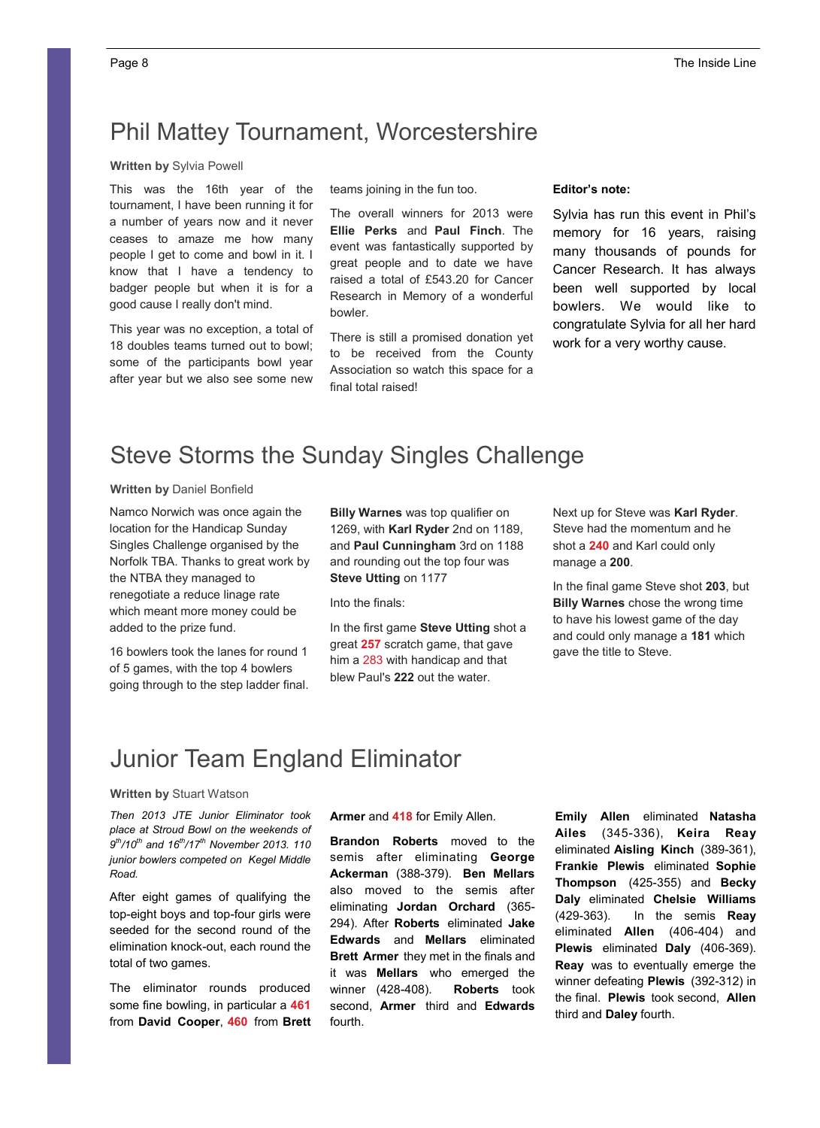## Phil Mattey Tournament, Worcestershire

### **Written by** Sylvia Powell

This was the 16th year of the tournament, I have been running it for a number of years now and it never ceases to amaze me how many people I get to come and bowl in it. I know that I have a tendency to badger people but when it is for a good cause I really don't mind.

This year was no exception, a total of 18 doubles teams turned out to bowl; some of the participants bowl year after year but we also see some new teams joining in the fun too.

The overall winners for 2013 were **Ellie Perks** and **Paul Finch**. The event was fantastically supported by great people and to date we have raised a total of £543.20 for Cancer Research in Memory of a wonderful bowler.

There is still a promised donation yet to be received from the County Association so watch this space for a final total raised!

## **Editor's note:**

Sylvia has run this event in Phil's memory for 16 years, raising many thousands of pounds for Cancer Research. It has always been well supported by local bowlers. We would like to congratulate Sylvia for all her hard work for a very worthy cause.

# Steve Storms the Sunday Singles Challenge

#### **Written by** Daniel Bonfield

Namco Norwich was once again the location for the Handicap Sunday Singles Challenge organised by the Norfolk TBA. Thanks to great work by the NTBA they managed to renegotiate a reduce linage rate which meant more money could be added to the prize fund.

16 bowlers took the lanes for round 1 of 5 games, with the top 4 bowlers going through to the step ladder final. **Billy Warnes** was top qualifier on 1269, with **Karl Ryder** 2nd on 1189, and **Paul Cunningham** 3rd on 1188 and rounding out the top four was **Steve Utting** on 1177

Into the finals:

In the first game **Steve Utting** shot a great **257** scratch game, that gave him a 283 with handicap and that blew Paul's **222** out the water.

Next up for Steve was **Karl Ryder**. Steve had the momentum and he shot a **240** and Karl could only manage a **200**.

In the final game Steve shot **203**, but **Billy Warnes** chose the wrong time to have his lowest game of the day and could only manage a **181** which gave the title to Steve.

## Junior Team England Eliminator

### **Written by** Stuart Watson

*Then 2013 JTE Junior Eliminator took place at Stroud Bowl on the weekends of 9th/10th and 16th/17th November 2013. 110 junior bowlers competed on Kegel Middle Road.*

After eight games of qualifying the top-eight boys and top-four girls were seeded for the second round of the elimination knock-out, each round the total of two games.

The eliminator rounds produced some fine bowling, in particular a **461**  from **David Cooper**, **460** from **Brett**  **Armer** and **418** for Emily Allen.

**Brandon Roberts** moved to the semis after eliminating **George Ackerman** (388-379). **Ben Mellars**  also moved to the semis after eliminating **Jordan Orchard** (365- 294). After **Roberts** eliminated **Jake Edwards** and **Mellars** eliminated **Brett Armer** they met in the finals and it was **Mellars** who emerged the winner (428-408). **Roberts** took second, **Armer** third and **Edwards**  fourth.

**Emily Allen** eliminated **Natasha Ailes** (345-336), **Keira Reay**  eliminated **Aisling Kinch** (389-361), **Frankie Plewis** eliminated **Sophie Thompson** (425-355) and **Becky Daly** eliminated **Chelsie Williams**  (429-363). In the semis **Reay**  eliminated **Allen** (406-404) and **Plewis** eliminated **Daly** (406-369). **Reay** was to eventually emerge the winner defeating **Plewis** (392-312) in the final. **Plewis** took second, **Allen**  third and **Daley** fourth.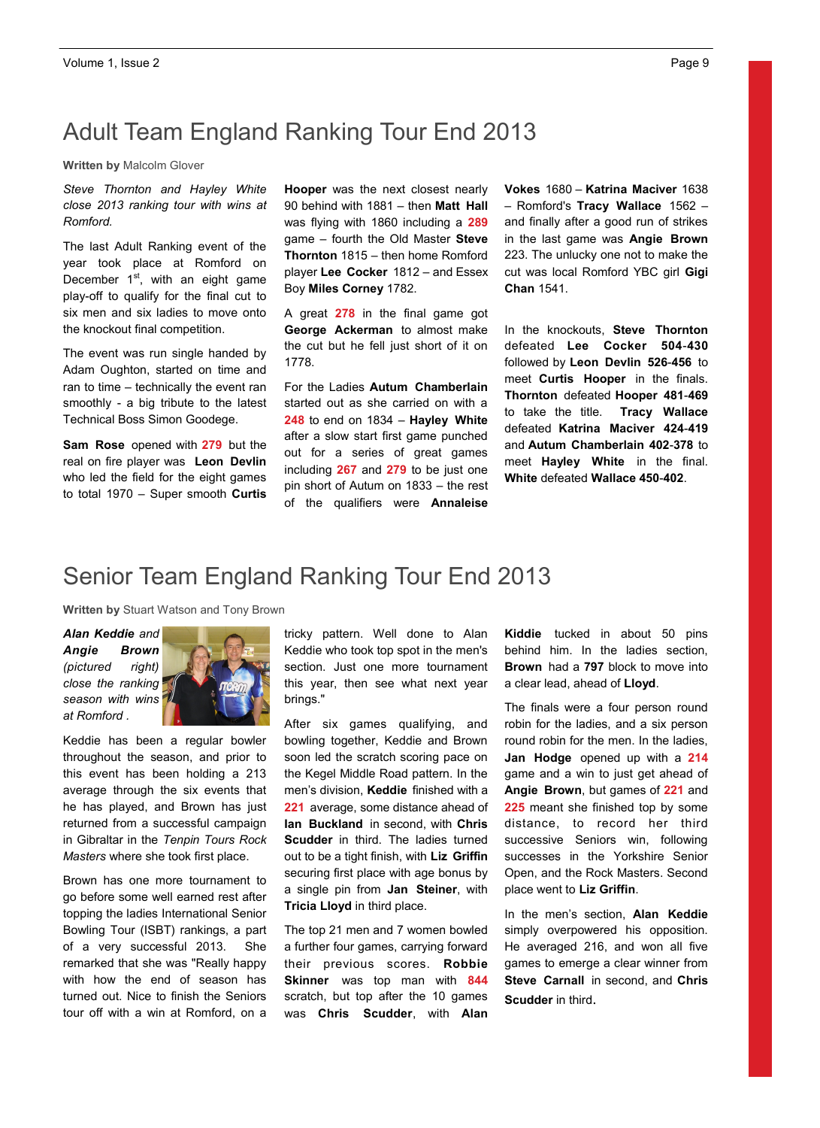# Adult Team England Ranking Tour End 2013

**Written by** Malcolm Glover

*Steve Thornton and Hayley White close 2013 ranking tour with wins at Romford.* 

The last Adult Ranking event of the year took place at Romford on December  $1<sup>st</sup>$ , with an eight game play-off to qualify for the final cut to six men and six ladies to move onto the knockout final competition.

The event was run single handed by Adam Oughton, started on time and ran to time – technically the event ran smoothly - a big tribute to the latest Technical Boss Simon Goodege.

**Sam Rose** opened with **279** but the real on fire player was **Leon Devlin**  who led the field for the eight games to total 1970 – Super smooth **Curtis** 

**Hooper** was the next closest nearly 90 behind with 1881 – then **Matt Hall**  was flying with 1860 including a **289** game – fourth the Old Master **Steve Thornton** 1815 – then home Romford player **Lee Cocker** 1812 – and Essex Boy **Miles Corney** 1782.

A great **278** in the final game got **George Ackerman** to almost make the cut but he fell just short of it on 1778.

For the Ladies **Autum Chamberlain**  started out as she carried on with a **248** to end on 1834 – **Hayley White**  after a slow start first game punched out for a series of great games including **267** and **279** to be just one pin short of Autum on 1833 – the rest of the qualifiers were **Annaleise** 

**Vokes** 1680 – **Katrina Maciver** 1638 – Romford's **Tracy Wallace** 1562 – and finally after a good run of strikes in the last game was **Angie Brown**  223. The unlucky one not to make the cut was local Romford YBC girl **Gigi Chan** 1541.

In the knockouts, **Steve Thornton**  defeated **Lee Cocker 504**-**430**  followed by **Leon Devlin 526**-**456** to meet **Curtis Hooper** in the finals. **Thornton** defeated **Hooper 481**-**469**  to take the title. **Tracy Wallace**  defeated **Katrina Maciver 424**-**419**  and **Autum Chamberlain 402**-**378** to meet **Hayley White** in the final. **White** defeated **Wallace 450**-**402**.

## Senior Team England Ranking Tour End 2013

**Written by** Stuart Watson and Tony Brown

*Alan Keddie and Angie Brown (pictured right) close the ranking season with wins at Romford .*



Keddie has been a regular bowler throughout the season, and prior to this event has been holding a 213 average through the six events that he has played, and Brown has just returned from a successful campaign in Gibraltar in the *Tenpin Tours Rock Masters* where she took first place.

Brown has one more tournament to go before some well earned rest after topping the ladies International Senior Bowling Tour (ISBT) rankings, a part of a very successful 2013. She remarked that she was "Really happy with how the end of season has turned out. Nice to finish the Seniors tour off with a win at Romford, on a tricky pattern. Well done to Alan Keddie who took top spot in the men's section. Just one more tournament this year, then see what next year brings."

After six games qualifying, and bowling together, Keddie and Brown soon led the scratch scoring pace on the Kegel Middle Road pattern. In the men's division, **Keddie** finished with a **221** average, some distance ahead of **Ian Buckland** in second, with **Chris Scudder** in third. The ladies turned out to be a tight finish, with **Liz Griffin**  securing first place with age bonus by a single pin from **Jan Steiner**, with **Tricia Lloyd** in third place.

The top 21 men and 7 women bowled a further four games, carrying forward their previous scores. **Robbie Skinner** was top man with **844** scratch, but top after the 10 games was **Chris Scudder**, with **Alan** 

**Kiddie** tucked in about 50 pins behind him. In the ladies section, **Brown** had a **797** block to move into a clear lead, ahead of **Lloyd**.

The finals were a four person round robin for the ladies, and a six person round robin for the men. In the ladies, **Jan Hodge** opened up with a **214** game and a win to just get ahead of **Angie Brown**, but games of **221** and **225** meant she finished top by some distance, to record her third successive Seniors win, following successes in the Yorkshire Senior Open, and the Rock Masters. Second place went to **Liz Griffin**.

In the men's section, **Alan Keddie**  simply overpowered his opposition. He averaged 216, and won all five games to emerge a clear winner from **Steve Carnall** in second, and **Chris Scudder** in third.